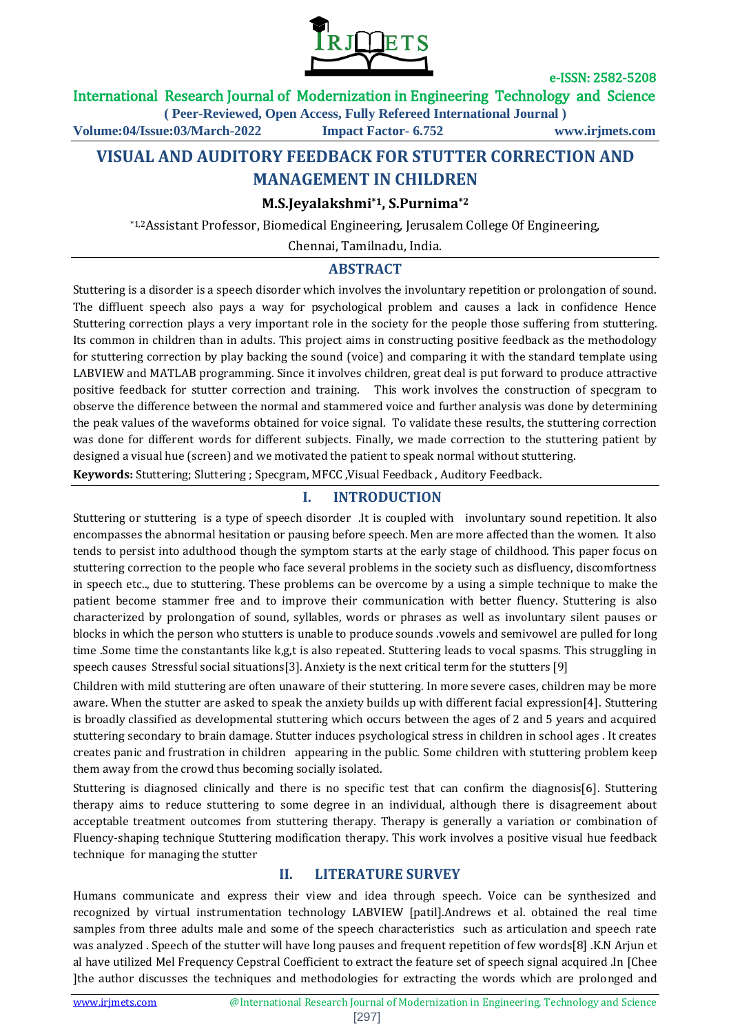

### International Research Journal of Modernization in Engineering Technology and Science

**( Peer-Reviewed, Open Access, Fully Refereed International Journal )**

**Volume:04/Issue:03/March-2022 Impact Factor- 6.752 www.irjmets.com**

# **VISUAL AND AUDITORY FEEDBACK FOR STUTTER CORRECTION AND MANAGEMENT IN CHILDREN**

### **M.S.Jeyalakshmi\*1, S.Purnima\*2**

\*1,2Assistant Professor, Biomedical Engineering, Jerusalem College Of Engineering,

Chennai, Tamilnadu, India.

### **ABSTRACT**

Stuttering is a disorder is a speech disorder which involves the involuntary repetition or prolongation of sound. The diffluent speech also pays a way for psychological problem and causes a lack in confidence Hence Stuttering correction plays a very important role in the society for the people those suffering from stuttering. Its common in children than in adults. This project aims in constructing positive feedback as the methodology for stuttering correction by play backing the sound (voice) and comparing it with the standard template using LABVIEW and MATLAB programming. Since it involves children, great deal is put forward to produce attractive positive feedback for stutter correction and training. This work involves the construction of specgram to observe the difference between the normal and stammered voice and further analysis was done by determining the peak values of the waveforms obtained for voice signal. To validate these results, the stuttering correction was done for different words for different subjects. Finally, we made correction to the stuttering patient by designed a visual hue (screen) and we motivated the patient to speak normal without stuttering.

**Keywords:** Stuttering; Sluttering ; Specgram, MFCC ,Visual Feedback , Auditory Feedback.

## **I. INTRODUCTION**

Stuttering or stuttering is a type of speech disorder .It is coupled with involuntary sound repetition. It also encompasses the abnormal hesitation or pausing before speech. Men are more affected than the women. It also tends to persist into adulthood though the symptom starts at the early stage of childhood. This paper focus on stuttering correction to the people who face several problems in the society such as disfluency, discomfortness in speech etc.., due to stuttering. These problems can be overcome by a using a simple technique to make the patient become stammer free and to improve their communication with better fluency. Stuttering is also characterized by prolongation of sound, syllables, words or phrases as well as involuntary silent pauses or blocks in which the person who stutters is unable to produce sounds .vowels and semivowel are pulled for long time .Some time the constantants like k,g,t is also repeated. Stuttering leads to vocal spasms. This struggling in speech causes Stressful social situations[3]. Anxiety is the next critical term for the stutters [9]

Children with mild stuttering are often unaware of their stuttering. In more severe cases, children may be more aware. When the stutter are asked to speak the anxiety builds up with different facial expression[4]. Stuttering is broadly classified as developmental stuttering which occurs between the ages of 2 and 5 years and acquired stuttering secondary to brain damage. Stutter induces psychological stress in children in school ages . It creates creates panic and frustration in children appearing in the public. Some children with stuttering problem keep them away from the crowd thus becoming socially isolated.

Stuttering is diagnosed clinically and there is no specific test that can confirm the diagnosis[6]. Stuttering therapy aims to reduce stuttering to some degree in an individual, although there is disagreement about acceptable treatment outcomes from stuttering therapy. Therapy is generally a variation or combination of Fluency-shaping technique Stuttering modification therapy. This work involves a positive visual hue feedback technique for managing the stutter

### **II. LITERATURE SURVEY**

Humans communicate and express their view and idea through speech. Voice can be synthesized and recognized by virtual instrumentation technology LABVIEW [patil].Andrews et al. obtained the real time samples from three adults male and some of the speech characteristics such as articulation and speech rate was analyzed . Speech of the stutter will have long pauses and frequent repetition of few words[8] .K.N Arjun et al have utilized Mel Frequency Cepstral Coefficient to extract the feature set of speech signal acquired .In [Chee ]the author discusses the techniques and methodologies for extracting the words which are prolonged and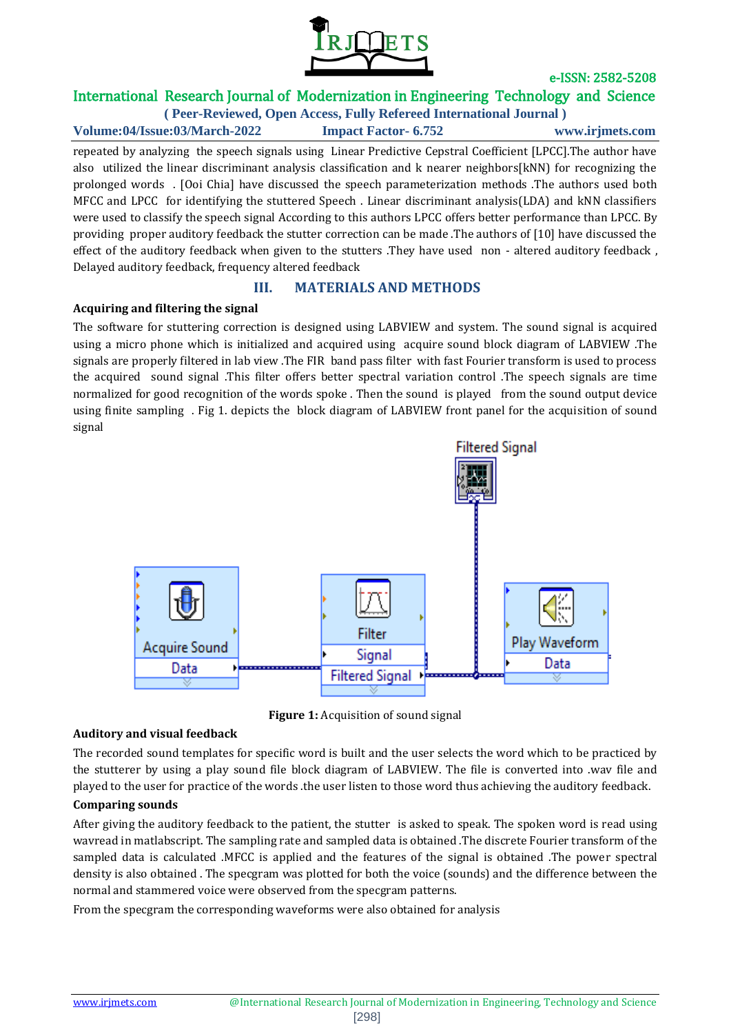

# International Research Journal of Modernization in Engineering Technology and Science

**( Peer-Reviewed, Open Access, Fully Refereed International Journal ) Volume:04/Issue:03/March-2022 Impact Factor- 6.752 www.irjmets.com**

repeated by analyzing the speech signals using Linear Predictive Cepstral Coefficient [LPCC].The author have also utilized the linear discriminant analysis classification and k nearer neighbors[kNN) for recognizing the prolonged words . [Ooi Chia] have discussed the speech parameterization methods .The authors used both MFCC and LPCC for identifying the stuttered Speech . Linear discriminant analysis(LDA) and kNN classifiers were used to classify the speech signal According to this authors LPCC offers better performance than LPCC. By providing proper auditory feedback the stutter correction can be made .The authors of [10] have discussed the effect of the auditory feedback when given to the stutters .They have used non - altered auditory feedback , Delayed auditory feedback, frequency altered feedback

## **III. MATERIALS AND METHODS**

#### **Acquiring and filtering the signal**

The software for stuttering correction is designed using LABVIEW and system. The sound signal is acquired using a micro phone which is initialized and acquired using acquire sound block diagram of LABVIEW .The signals are properly filtered in lab view .The FIR band pass filter with fast Fourier transform is used to process the acquired sound signal .This filter offers better spectral variation control .The speech signals are time normalized for good recognition of the words spoke . Then the sound is played from the sound output device using finite sampling . Fig 1. depicts the block diagram of LABVIEW front panel for the acquisition of sound signal



**Figure 1:** Acquisition of sound signal

#### **Auditory and visual feedback**

The recorded sound templates for specific word is built and the user selects the word which to be practiced by the stutterer by using a play sound file block diagram of LABVIEW. The file is converted into .wav file and played to the user for practice of the words .the user listen to those word thus achieving the auditory feedback.

### **Comparing sounds**

After giving the auditory feedback to the patient, the stutter is asked to speak. The spoken word is read using wavread in matlabscript. The sampling rate and sampled data is obtained .The discrete Fourier transform of the sampled data is calculated .MFCC is applied and the features of the signal is obtained .The power spectral density is also obtained . The specgram was plotted for both the voice (sounds) and the difference between the normal and stammered voice were observed from the specgram patterns.

From the specgram the corresponding waveforms were also obtained for analysis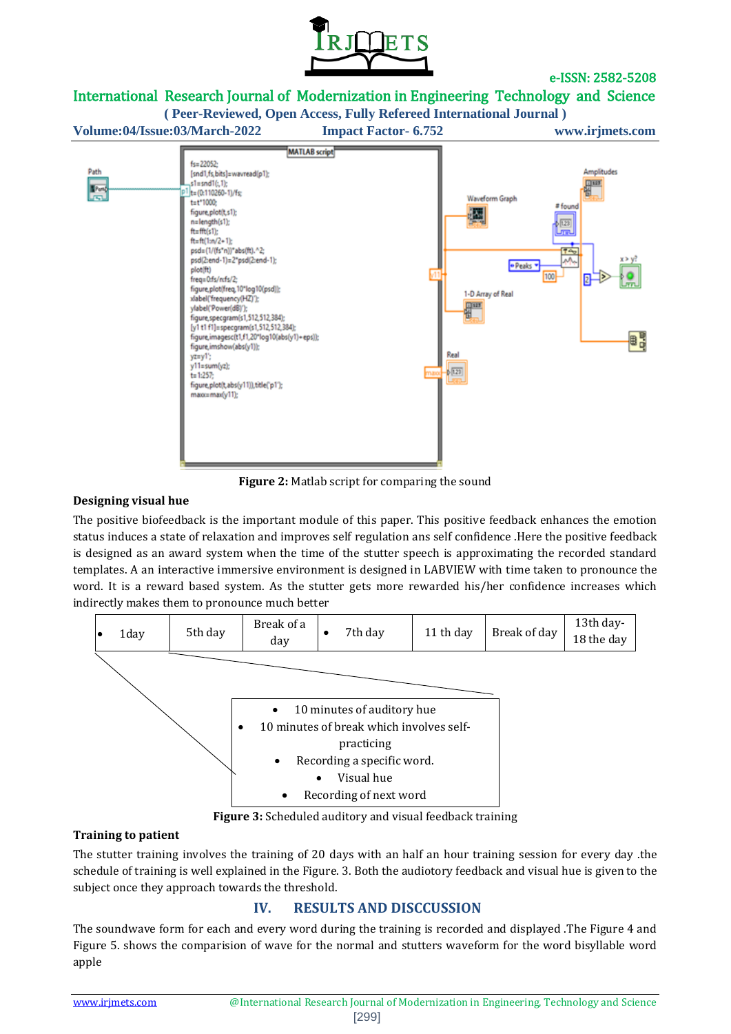

# International Research Journal of Modernization in Engineering Technology and Science

**( Peer-Reviewed, Open Access, Fully Refereed International Journal )**

**Volume:04/Issue:03/March-2022 Impact Factor- 6.752 www.irjmets.com**



**Figure 2:** Matlab script for comparing the sound

#### **Designing visual hue**

The positive biofeedback is the important module of this paper. This positive feedback enhances the emotion status induces a state of relaxation and improves self regulation ans self confidence .Here the positive feedback is designed as an award system when the time of the stutter speech is approximating the recorded standard templates. A an interactive immersive environment is designed in LABVIEW with time taken to pronounce the word. It is a reward based system. As the stutter gets more rewarded his/her confidence increases which indirectly makes them to pronounce much better



**Figure 3:** Scheduled auditory and visual feedback training

### **Training to patient**

The stutter training involves the training of 20 days with an half an hour training session for every day .the schedule of training is well explained in the Figure. 3. Both the audiotory feedback and visual hue is given to the subject once they approach towards the threshold.

# **IV. RESULTS AND DISCCUSSION**

The soundwave form for each and every word during the training is recorded and displayed .The Figure 4 and Figure 5. shows the comparision of wave for the normal and stutters waveform for the word bisyllable word apple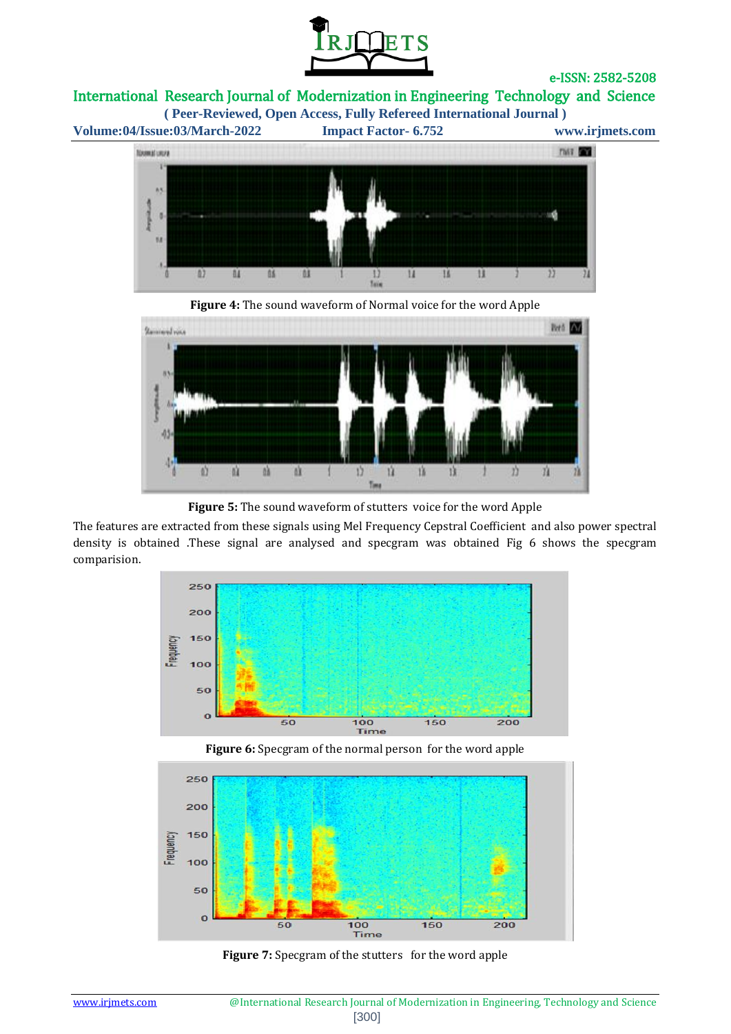

International Research Journal of Modernization in Engineering Technology and Science

**Volume:04/Issue:03/March-2022 Impact Factor- 6.752 www.irjmets.com**

**( Peer-Reviewed, Open Access, Fully Refereed International Journal )**







**Figure 5:** The sound waveform of stutters voice for the word Apple

The features are extracted from these signals using Mel Frequency Cepstral Coefficient and also power spectral density is obtained .These signal are analysed and specgram was obtained Fig 6 shows the specgram comparision.



**Figure 6:** Specgram of the normal person for the word apple



Figure 7: Specgram of the stutters for the word apple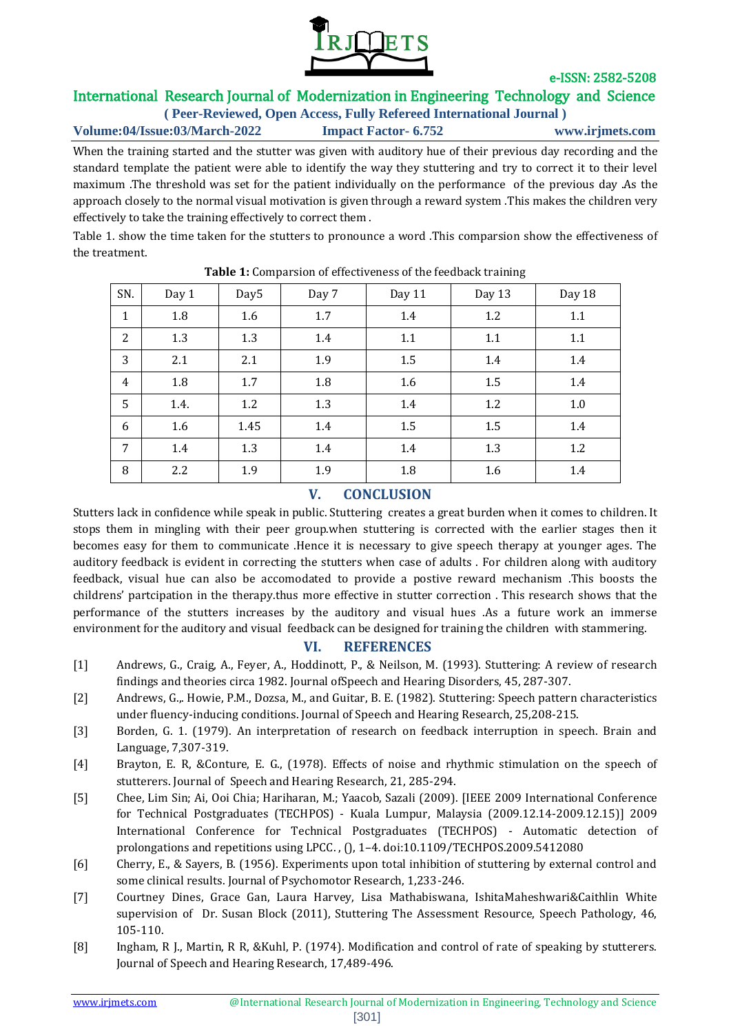

# International Research Journal of Modernization in Engineering Technology and Science

**( Peer-Reviewed, Open Access, Fully Refereed International Journal ) Volume:04/Issue:03/March-2022 Impact Factor- 6.752 www.irjmets.com**

When the training started and the stutter was given with auditory hue of their previous day recording and the standard template the patient were able to identify the way they stuttering and try to correct it to their level maximum .The threshold was set for the patient individually on the performance of the previous day .As the approach closely to the normal visual motivation is given through a reward system .This makes the children very effectively to take the training effectively to correct them .

Table 1. show the time taken for the stutters to pronounce a word .This comparsion show the effectiveness of the treatment.

| SN.            | Day 1 | Day <sub>5</sub> | Day 7 | Day 11 | Day 13 | Day 18 |
|----------------|-------|------------------|-------|--------|--------|--------|
| $\mathbf{1}$   | 1.8   | 1.6              | 1.7   | 1.4    | 1.2    | 1.1    |
| $\overline{2}$ | 1.3   | 1.3              | 1.4   | 1.1    | 1.1    | 1.1    |
| 3              | 2.1   | 2.1              | 1.9   | 1.5    | 1.4    | 1.4    |
| $\overline{4}$ | 1.8   | 1.7              | 1.8   | 1.6    | 1.5    | 1.4    |
| 5              | 1.4.  | 1.2              | 1.3   | 1.4    | 1.2    | 1.0    |
| 6              | 1.6   | 1.45             | 1.4   | 1.5    | 1.5    | 1.4    |
| 7              | 1.4   | 1.3              | 1.4   | 1.4    | 1.3    | 1.2    |
| 8              | 2.2   | 1.9              | 1.9   | 1.8    | 1.6    | 1.4    |

#### **Table 1:** Comparsion of effectiveness of the feedback training

# **V. CONCLUSION**

Stutters lack in confidence while speak in public. Stuttering creates a great burden when it comes to children. It stops them in mingling with their peer group.when stuttering is corrected with the earlier stages then it becomes easy for them to communicate .Hence it is necessary to give speech therapy at younger ages. The auditory feedback is evident in correcting the stutters when case of adults . For children along with auditory feedback, visual hue can also be accomodated to provide a postive reward mechanism .This boosts the childrens' partcipation in the therapy.thus more effective in stutter correction . This research shows that the performance of the stutters increases by the auditory and visual hues .As a future work an immerse environment for the auditory and visual feedback can be designed for training the children with stammering.

## **VI. REFERENCES**

- [1] Andrews, G., Craig, A., Feyer, A., Hoddinott, P., & Neilson, M. (1993). Stuttering: A review of research findings and theories circa 1982. Journal ofSpeech and Hearing Disorders, 45, 287-307.
- [2] Andrews, G.,. Howie, P.M., Dozsa, M., and Guitar, B. E. (1982). Stuttering: Speech pattern characteristics under fluency-inducing conditions. Journal of Speech and Hearing Research, 25,208-215.
- [3] Borden, G. 1. (1979). An interpretation of research on feedback interruption in speech. Brain and Language, 7,307-319.
- [4] Brayton, E. R, &Conture, E. G., (1978). Effects of noise and rhythmic stimulation on the speech of stutterers. Journal of Speech and Hearing Research, 21, 285-294.
- [5] Chee, Lim Sin; Ai, Ooi Chia; Hariharan, M.; Yaacob, Sazali (2009). [IEEE 2009 International Conference for Technical Postgraduates (TECHPOS) - Kuala Lumpur, Malaysia (2009.12.14-2009.12.15)] 2009 International Conference for Technical Postgraduates (TECHPOS) - Automatic detection of prolongations and repetitions using LPCC. , (), 1–4. doi:10.1109/TECHPOS.2009.5412080
- [6] Cherry, E., & Sayers, B. (1956). Experiments upon total inhibition of stuttering by external control and some clinical results. Journal of Psychomotor Research, 1,233-246.
- [7] Courtney Dines, Grace Gan, Laura Harvey, Lisa Mathabiswana, IshitaMaheshwari&Caithlin White supervision of Dr. Susan Block (2011), Stuttering The Assessment Resource, Speech Pathology, 46, 105-110.
- [8] Ingham, R J., Martin, R R, &Kuhl, P. (1974). Modification and control of rate of speaking by stutterers. Journal of Speech and Hearing Research, 17,489-496.